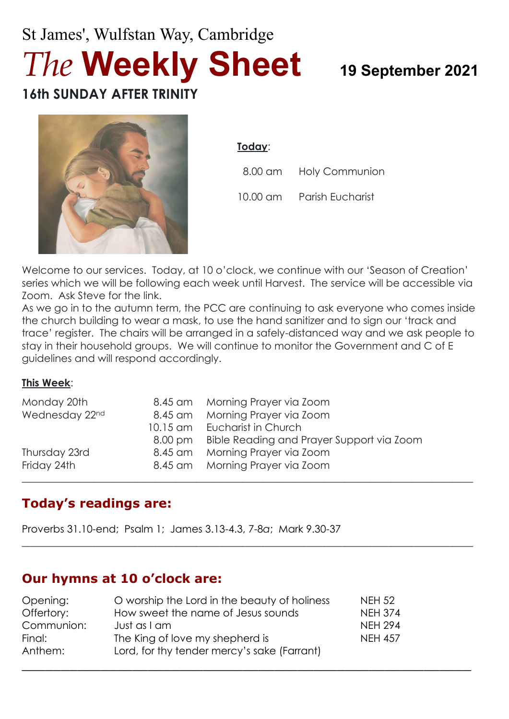# St James', Wulfstan Way, Cambridge *The* **Weekly Sheet <sup>19</sup> September <sup>2021</sup> 16th SUNDAY AFTER TRINITY**



**Today**:

 8.00 am Holy Communion 10.00 am Parish Eucharist

Welcome to our services. Today, at 10 o'clock, we continue with our 'Season of Creation' series which we will be following each week until Harvest. The service will be accessible via Zoom. Ask Steve for the link.

As we go in to the autumn term, the PCC are continuing to ask everyone who comes inside the church building to wear a mask, to use the hand sanitizer and to sign our 'track and trace' register. The chairs will be arranged in a safely-distanced way and we ask people to stay in their household groups. We will continue to monitor the Government and C of E guidelines and will respond accordingly.

 $\_$  , and the set of the set of the set of the set of the set of the set of the set of the set of the set of the set of the set of the set of the set of the set of the set of the set of the set of the set of the set of th

\_\_\_\_\_\_\_\_\_\_\_\_\_\_\_\_\_\_\_\_\_\_\_\_\_\_\_\_\_\_\_\_\_\_\_\_\_\_\_\_\_\_\_\_\_\_\_\_\_\_\_\_\_\_\_\_\_

#### **This Week**:

| Monday 20th    | 8.45 am  | Morning Prayer via Zoom                   |
|----------------|----------|-------------------------------------------|
| Wednesday 22nd | 8.45 am  | Morning Prayer via Zoom                   |
|                | 10.15 am | Eucharist in Church                       |
|                | 8.00 pm  | Bible Reading and Prayer Support via Zoom |
| Thursday 23rd  | 8.45 am  | Morning Prayer via Zoom                   |
| Friday 24th    | 8.45 am  | Morning Prayer via Zoom                   |
|                |          |                                           |

# **Today's readings are:**

Proverbs 31.10-end; Psalm 1; James 3.13-4.3, 7-8*a*; Mark 9.30-37

#### **Our hymns at 10 o'clock are:**

| Opening:   | O worship the Lord in the beauty of holiness | <b>NEH 52</b>  |
|------------|----------------------------------------------|----------------|
| Offertory: | How sweet the name of Jesus sounds           | <b>NEH 374</b> |
| Communion: | Just as I am                                 | <b>NFH 294</b> |
| Final:     | The King of love my shepherd is              | <b>NEH 457</b> |
| Anthem:    | Lord, for thy tender mercy's sake (Farrant)  |                |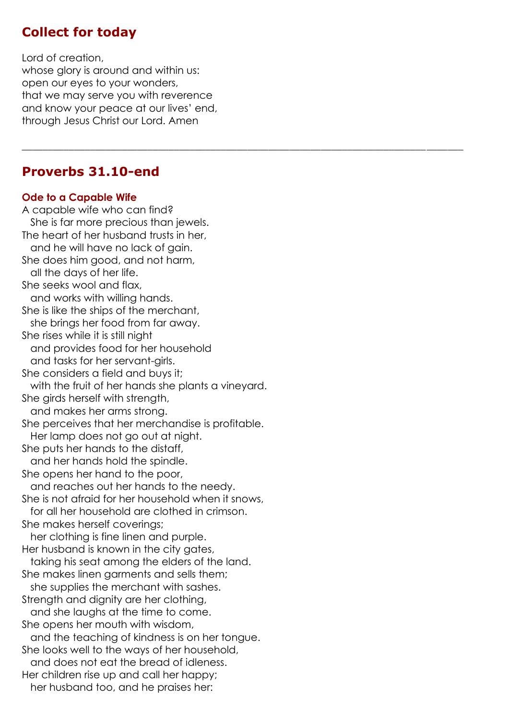# **Collect for today**

Lord of creation, whose glory is around and within us: open our eyes to your wonders, that we may serve you with reverence and know your peace at our lives' end, through Jesus Christ our Lord. Amen

\_\_\_\_\_\_\_\_\_\_\_\_\_\_\_\_\_\_\_\_\_\_\_\_\_\_\_\_\_\_\_\_\_\_\_\_\_\_\_\_\_\_\_\_\_\_\_\_\_\_\_\_\_\_\_\_\_\_\_\_\_\_\_\_\_\_\_\_\_\_\_\_\_\_\_\_\_\_\_\_\_\_\_\_

#### **Proverbs 31.10-end**

#### **Ode to a Capable Wife**

A capable wife who can find? She is far more precious than jewels. The heart of her husband trusts in her, and he will have no lack of gain. She does him good, and not harm, all the days of her life. She seeks wool and flax, and works with willing hands. She is like the ships of the merchant, she brings her food from far away. She rises while it is still night and provides food for her household and tasks for her servant-girls. She considers a field and buys it; with the fruit of her hands she plants a vineyard. She girds herself with strength, and makes her arms strong. She perceives that her merchandise is profitable. Her lamp does not go out at night. She puts her hands to the distaff, and her hands hold the spindle. She opens her hand to the poor, and reaches out her hands to the needy. She is not afraid for her household when it snows, for all her household are clothed in crimson. She makes herself coverings; her clothing is fine linen and purple. Her husband is known in the city gates, taking his seat among the elders of the land. She makes linen garments and sells them; she supplies the merchant with sashes. Strength and dignity are her clothing, and she laughs at the time to come. She opens her mouth with wisdom, and the teaching of kindness is on her tongue. She looks well to the ways of her household, and does not eat the bread of idleness. Her children rise up and call her happy; her husband too, and he praises her: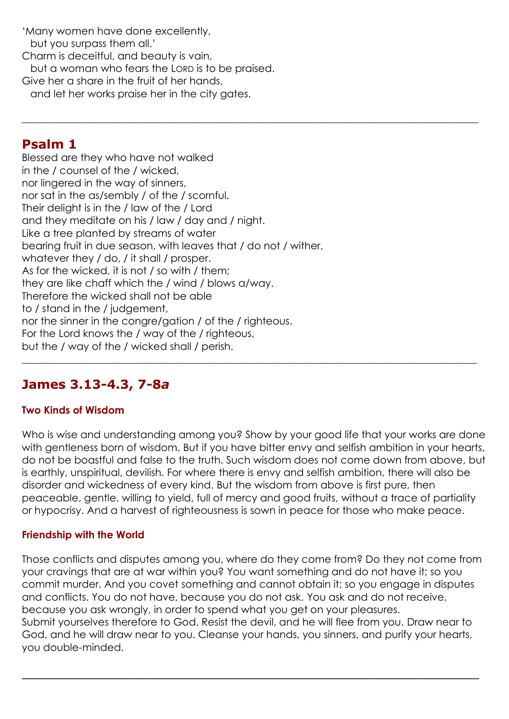'Many women have done excellently, but you surpass them all.'

Charm is deceitful, and beauty is vain,

 but a woman who fears the LORD is to be praised. Give her a share in the fruit of her hands,

and let her works praise her in the city gates.

## **Psalm 1**

Blessed are they who have not walked in the / counsel of the / wicked, nor lingered in the way of sinners, nor sat in the as/sembly / of the / scornful. Their delight is in the / law of the / Lord and they meditate on his / law / day and / night. Like a tree planted by streams of water bearing fruit in due season, with leaves that / do not / wither, whatever they / do, / it shall / prosper. As for the wicked, it is not / so with / them; they are like chaff which the / wind / blows a/way. Therefore the wicked shall not be able to / stand in the / judgement, nor the sinner in the congre/gation / of the / righteous. For the Lord knows the / way of the / righteous, but the / way of the / wicked shall / perish. \_\_\_\_\_\_\_\_\_\_\_\_\_\_\_\_\_\_\_\_\_\_\_\_\_\_\_\_\_\_\_\_\_\_\_\_\_\_\_\_\_\_\_\_\_\_\_\_\_\_\_\_\_\_\_\_\_\_\_\_\_\_\_\_\_\_\_\_\_\_\_\_\_\_\_\_\_\_\_\_\_\_\_\_\_\_

# **James 3.13-4.3, 7-8***a*

#### **Two Kinds of Wisdom**

Who is wise and understanding among you? Show by your good life that your works are done with gentleness born of wisdom. But if you have bitter envy and selfish ambition in your hearts, do not be boastful and false to the truth. Such wisdom does not come down from above, but is earthly, unspiritual, devilish. For where there is envy and selfish ambition, there will also be disorder and wickedness of every kind. But the wisdom from above is first pure, then peaceable, gentle, willing to yield, full of mercy and good fruits, without a trace of partiality or hypocrisy. And a harvest of righteousness is sown in peace for those who make peace.

 $\_$  , and the set of the set of the set of the set of the set of the set of the set of the set of the set of the set of the set of the set of the set of the set of the set of the set of the set of the set of the set of th

#### **Friendship with the World**

Those conflicts and disputes among you, where do they come from? Do they not come from your cravings that are at war within you? You want something and do not have it; so you commit murder. And you covet something and cannot obtain it; so you engage in disputes and conflicts. You do not have, because you do not ask. You ask and do not receive, because you ask wrongly, in order to spend what you get on your pleasures. Submit yourselves therefore to God. Resist the devil, and he will flee from you. Draw near to God, and he will draw near to you. Cleanse your hands, you sinners, and purify your hearts, you double-minded.

\_\_\_\_\_\_\_\_\_\_\_\_\_\_\_\_\_\_\_\_\_\_\_\_\_\_\_\_\_\_\_\_\_\_\_\_\_\_\_\_\_\_\_\_\_\_\_\_\_\_\_\_\_\_\_\_\_\_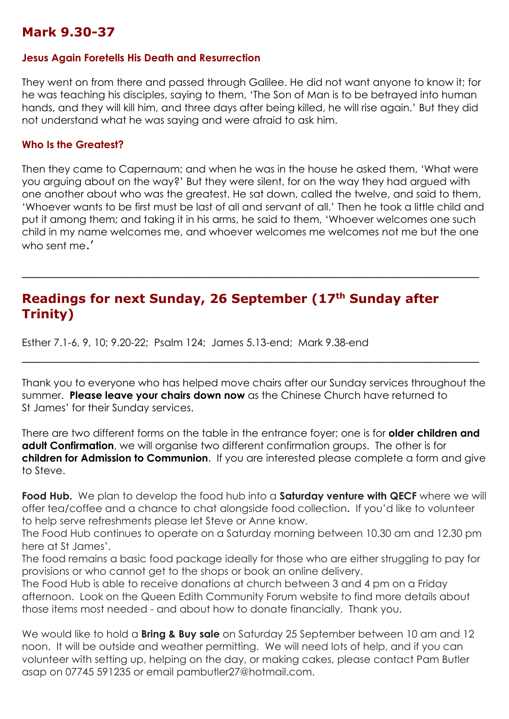## **Mark 9.30-37**

#### **Jesus Again Foretells His Death and Resurrection**

They went on from there and passed through Galilee. He did not want anyone to know it; for he was teaching his disciples, saying to them, 'The Son of Man is to be betrayed into human hands, and they will kill him, and three days after being killed, he will rise again.' But they did not understand what he was saying and were afraid to ask him.

#### **Who Is the Greatest?**

Then they came to Capernaum; and when he was in the house he asked them, 'What were you arguing about on the way?' But they were silent, for on the way they had argued with one another about who was the greatest. He sat down, called the twelve, and said to them, 'Whoever wants to be first must be last of all and servant of all.' Then he took a little child and put it among them; and taking it in his arms, he said to them, 'Whoever welcomes one such child in my name welcomes me, and whoever welcomes me welcomes not me but the one who sent me.'

\_\_\_\_\_\_\_\_\_\_\_\_\_\_\_\_\_\_\_\_\_\_\_\_\_\_\_\_\_\_\_\_\_\_\_\_\_\_\_\_\_\_\_\_\_\_\_\_\_\_\_\_\_\_\_\_\_\_

#### **Readings for next Sunday, 26 September (17th Sunday after Trinity)**

Esther 7.1-6, 9, 10; 9.20-22; Psalm 124; James 5.13-end; Mark 9.38-end

Thank you to everyone who has helped move chairs after our Sunday services throughout the summer. **Please leave your chairs down now** as the Chinese Church have returned to St James' for their Sunday services.

\_\_\_\_\_\_\_\_\_\_\_\_\_\_\_\_\_\_\_\_\_\_\_\_\_\_\_\_\_\_\_\_\_\_\_\_\_\_\_\_\_\_\_\_\_\_\_\_\_\_\_\_\_\_\_\_\_\_

There are two different forms on the table in the entrance foyer; one is for **older children and adult Confirmation**, we will organise two different confirmation groups. The other is for **children for Admission to Communion**. If you are interested please complete a form and give to Steve.

**Food Hub.** We plan to develop the food hub into a **Saturday venture with QECF** where we will offer tea/coffee and a chance to chat alongside food collection**.** If you'd like to volunteer to help serve refreshments please let Steve or Anne know.

The Food Hub continues to operate on a Saturday morning between 10.30 am and 12.30 pm here at St James'.

The food remains a basic food package ideally for those who are either struggling to pay for provisions or who cannot get to the shops or book an online delivery.

The Food Hub is able to receive donations at church between 3 and 4 pm on a Friday afternoon. Look on the Queen Edith Community Forum website to find more details about those items most needed - and about how to donate financially. Thank you.

We would like to hold a **Bring & Buy sale** on Saturday 25 September between 10 am and 12 noon. It will be outside and weather permitting. We will need lots of help, and if you can volunteer with setting up, helping on the day, or making cakes, please contact Pam Butler asap on 07745 591235 or email pambutler27@hotmail.com.